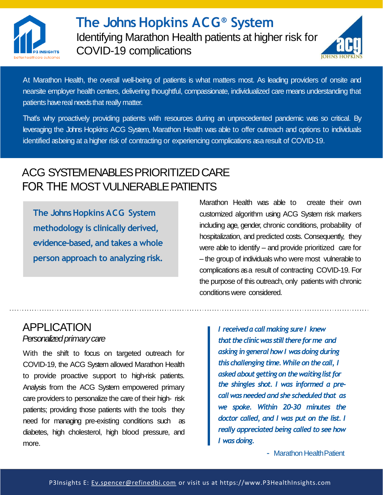



At Marathon Health, the overall well-being of patients is what matters most. As leading providers of onsite and nearsite employer health centers, delivering thoughtful, compassionate, individualized care means understanding that patients have real needs that really matter.

That's why proactively providing patients with resources during an unprecedented pandemic was so critical. By leveraging the Johns Hopkins ACG System, Marathon Health was able to offer outreach and options to individuals identified asbeing at a higher risk of contracting or experiencing complications asa result of COVID-19.

## ACG SYSTEM ENABLES PRIORITIZED CARE FOR THE MOST VULNERABLE PATIENTS

**The Johns Hopkins ACG System methodology is clinically derived, evidence-based, and takes a whole person approach to analyzing risk.**

## APPLICATION *Personalized primary care*

With the shift to focus on targeted outreach for COVID-19, the ACG System allowed Marathon Health to provide proactive support to high-risk patients. Analysis from the ACG System empowered primary care providers to personalize the care of their high- risk patients; providing those patients with the tools they need for managing pre-existing conditions such as diabetes, high cholesterol, high blood pressure, and more.

Marathon Health was able to create their own customized algorithm using ACG System risk markers including age, gender, chronic conditions, probability of hospitalization, and predicted costs. Consequently, they were able to identify – and provide prioritized care for – the group of individuals who were most vulnerable to complications asa result of contracting COVID-19. For the purpose of this outreach, only patients with chronic conditions were considered.

> *I received a call making sure I knew that the clinic was still there for me and asking in general how I was doing during this challenging time. While on the call, I asked about getting on the waitinglist for the shingles shot. I was informed a precallwasneededandshe scheduledthat as we spoke. Within 20-30 minutes the doctor called, and I was put on the list. I really appreciated being called to see how I wasdoing.*

> > *–* Marathon HealthPatient